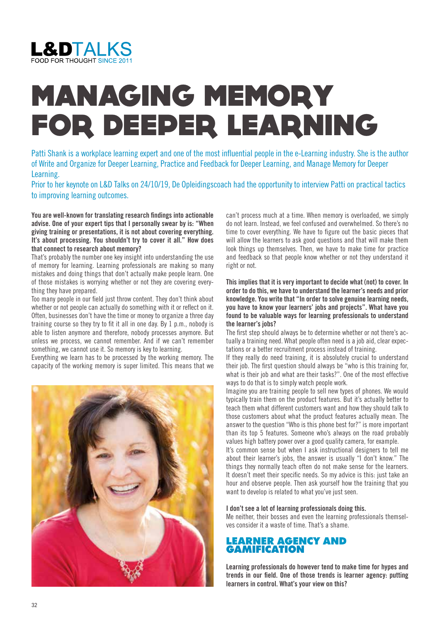

# MANAGING MEMORY FOR DEEPER LEARNING

Patti Shank is a workplace learning expert and one of the most influential people in the e-Learning industry. She is the author of Write and Organize for Deeper Learning, Practice and Feedback for Deeper Learning, and Manage Memory for Deeper Learning.

Prior to her keynote on L&D Talks on 24/10/19, De Opleidingscoach had the opportunity to interview Patti on practical tactics to improving learning outcomes.

**You are well-known for translating research findings into actionable advise. One of your expert tips that I personally swear by is: "When giving training or presentations, it is not about covering everything. It's about processing. You shouldn't try to cover it all." How does that connect to research about memory?** 

That's probably the number one key insight into understanding the use of memory for learning. Learning professionals are making so many mistakes and doing things that don't actually make people learn. One of those mistakes is worrying whether or not they are covering everything they have prepared.

Too many people in our field just throw content. They don't think about whether or not people can actually do something with it or reflect on it. Often, businesses don't have the time or money to organize a three day training course so they try to fit it all in one day. By 1 p.m., nobody is able to listen anymore and therefore, nobody processes anymore. But unless we process, we cannot remember. And if we can't remember something, we cannot use it. So memory is key to learning.

Everything we learn has to be processed by the working memory. The capacity of the working memory is super limited. This means that we



can't process much at a time. When memory is overloaded, we simply do not learn. Instead, we feel confused and overwhelmed. So there's no time to cover everything. We have to figure out the basic pieces that will allow the learners to ask good questions and that will make them look things up themselves. Then, we have to make time for practice and feedback so that people know whether or not they understand it right or not.

**This implies that it is very important to decide what (not) to cover. In order to do this, we have to understand the learner's needs and prior knowledge. You write that "In order to solve genuine learning needs, you have to know your learners' jobs and projects". What have you found to be valuable ways for learning professionals to understand the learner's jobs?** 

The first step should always be to determine whether or not there's actually a training need. What people often need is a job aid, clear expectations or a better recruitment process instead of training.

If they really do need training, it is absolutely crucial to understand their job. The first question should always be "who is this training for, what is their job and what are their tasks?". One of the most effective ways to do that is to simply watch people work.

Imagine you are training people to sell new types of phones. We would typically train them on the product features. But it's actually better to teach them what different customers want and how they should talk to those customers about what the product features actually mean. The answer to the question "Who is this phone best for?" is more important than its top 5 features. Someone who's always on the road probably values high battery power over a good quality camera, for example.

It's common sense but when I ask instructional designers to tell me about their learner's jobs, the answer is usually "I don't know." The things they normally teach often do not make sense for the learners. It doesn't meet their specific needs. So my advice is this: just take an hour and observe people. Then ask yourself how the training that you want to develop is related to what you've just seen.

#### **I don't see a lot of learning professionals doing this.**

Me neither, their bosses and even the learning professionals themselves consider it a waste of time. That's a shame.

## LEARNER AGENCY AND **GAMIFICATION**

**Learning professionals do however tend to make time for hypes and trends in our field. One of those trends is learner agency: putting learners in control. What's your view on this?**